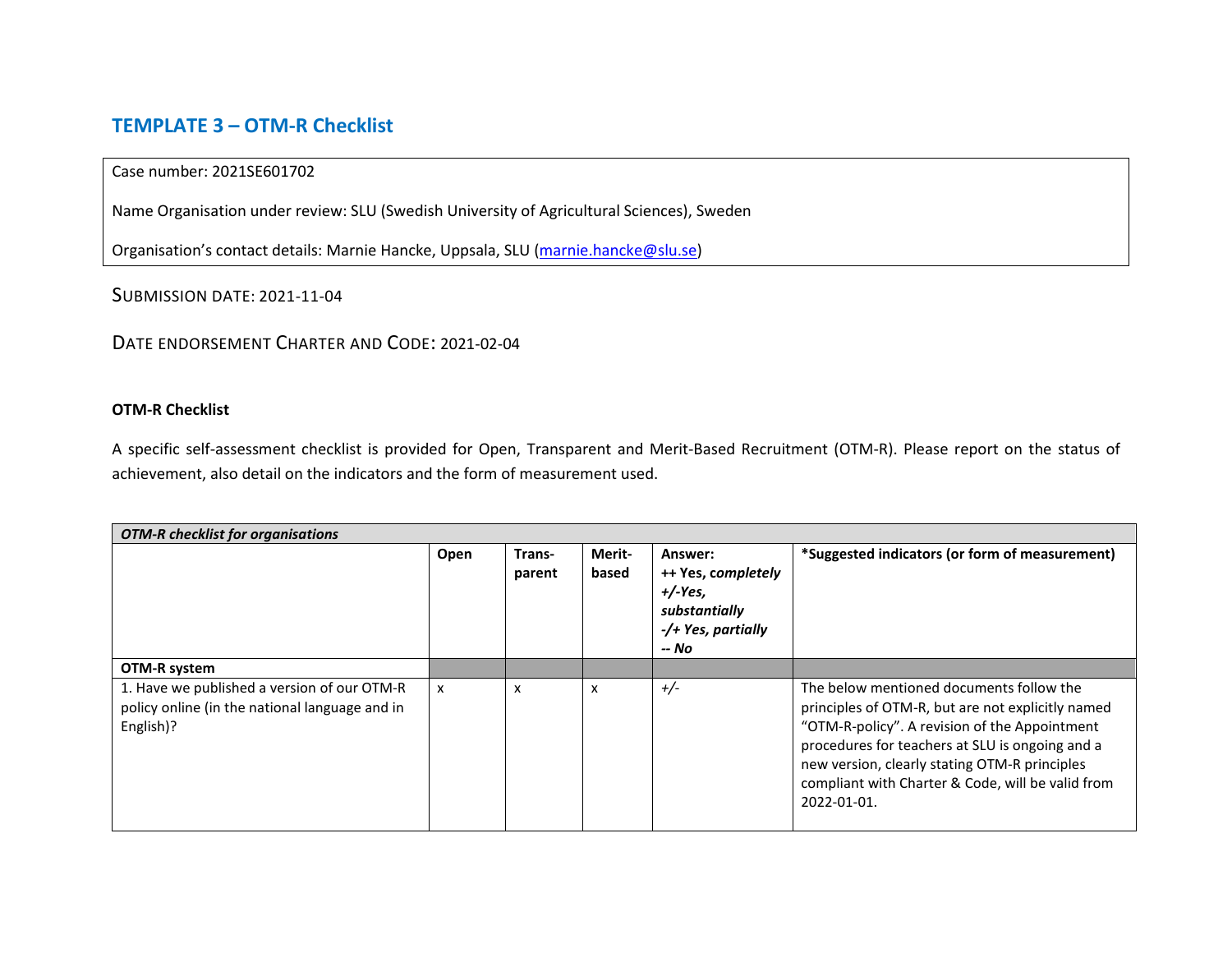# **TEMPLATE 3 – OTM-R Checklist**

### Case number: 2021SE601702

Name Organisation under review: SLU (Swedish University of Agricultural Sciences), Sweden

Organisation's contact details: Marnie Hancke, Uppsala, SLU [\(marnie.hancke@slu.se\)](mailto:marnie.hancke@slu.se)

## SUBMISSION DATE: 2021-11-04

## DATE ENDORSEMENT CHARTER AND CODE: 2021-02-04

### **OTM-R Checklist**

A specific self-assessment checklist is provided for Open, Transparent and Merit-Based Recruitment (OTM-R). Please report on the status of achievement, also detail on the indicators and the form of measurement used.

| <b>OTM-R</b> checklist for organisations                                                                   |                           |                           |                           |                                                                                           |                                                                                                                                                                                                                                                                                                                        |  |
|------------------------------------------------------------------------------------------------------------|---------------------------|---------------------------|---------------------------|-------------------------------------------------------------------------------------------|------------------------------------------------------------------------------------------------------------------------------------------------------------------------------------------------------------------------------------------------------------------------------------------------------------------------|--|
|                                                                                                            | Open                      | Trans-<br>parent          | Merit-<br>based           | Answer:<br>++ Yes, completely<br>$+/-Yes$<br>substantially<br>-/+ Yes, partially<br>-- No | *Suggested indicators (or form of measurement)                                                                                                                                                                                                                                                                         |  |
| OTM-R system                                                                                               |                           |                           |                           |                                                                                           |                                                                                                                                                                                                                                                                                                                        |  |
| 1. Have we published a version of our OTM-R<br>policy online (in the national language and in<br>English)? | $\boldsymbol{\mathsf{x}}$ | $\boldsymbol{\mathsf{x}}$ | $\boldsymbol{\mathsf{x}}$ | $+/-$                                                                                     | The below mentioned documents follow the<br>principles of OTM-R, but are not explicitly named<br>"OTM-R-policy". A revision of the Appointment<br>procedures for teachers at SLU is ongoing and a<br>new version, clearly stating OTM-R principles<br>compliant with Charter & Code, will be valid from<br>2022-01-01. |  |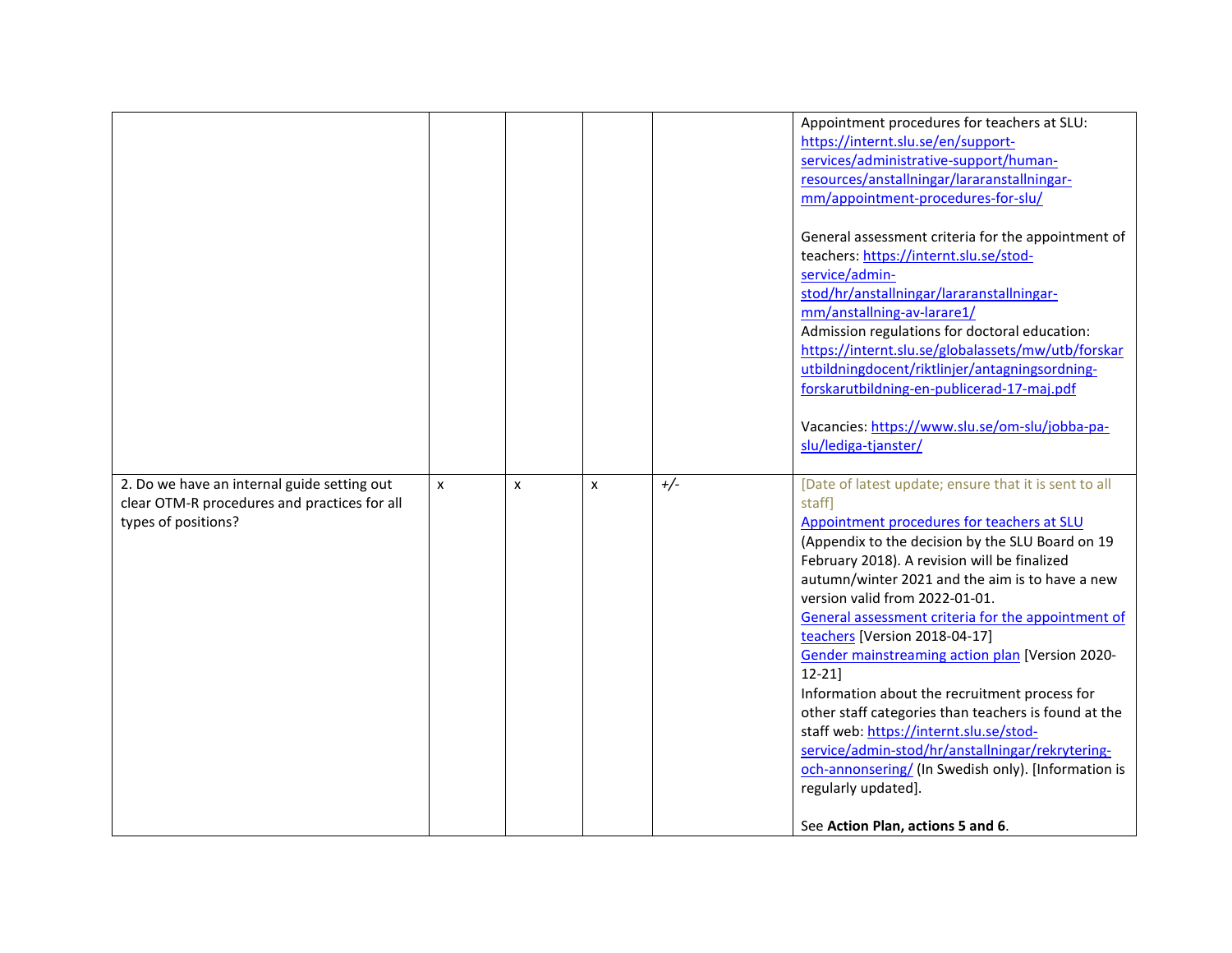|                                              |   |                           |   |       | Appointment procedures for teachers at SLU:           |
|----------------------------------------------|---|---------------------------|---|-------|-------------------------------------------------------|
|                                              |   |                           |   |       | https://internt.slu.se/en/support-                    |
|                                              |   |                           |   |       | services/administrative-support/human-                |
|                                              |   |                           |   |       | resources/anstallningar/lararanstallningar-           |
|                                              |   |                           |   |       | mm/appointment-procedures-for-slu/                    |
|                                              |   |                           |   |       |                                                       |
|                                              |   |                           |   |       | General assessment criteria for the appointment of    |
|                                              |   |                           |   |       | teachers: https://internt.slu.se/stod-                |
|                                              |   |                           |   |       | service/admin-                                        |
|                                              |   |                           |   |       |                                                       |
|                                              |   |                           |   |       | stod/hr/anstallningar/lararanstallningar-             |
|                                              |   |                           |   |       | mm/anstallning-av-larare1/                            |
|                                              |   |                           |   |       | Admission regulations for doctoral education:         |
|                                              |   |                           |   |       | https://internt.slu.se/globalassets/mw/utb/forskar    |
|                                              |   |                           |   |       | utbildningdocent/riktlinjer/antagningsordning-        |
|                                              |   |                           |   |       | forskarutbildning-en-publicerad-17-maj.pdf            |
|                                              |   |                           |   |       |                                                       |
|                                              |   |                           |   |       | Vacancies: https://www.slu.se/om-slu/jobba-pa-        |
|                                              |   |                           |   |       | slu/lediga-tjanster/                                  |
|                                              |   |                           |   |       |                                                       |
| 2. Do we have an internal guide setting out  | X | $\boldsymbol{\mathsf{x}}$ | x | $+/-$ | [Date of latest update; ensure that it is sent to all |
|                                              |   |                           |   |       | staff]                                                |
| clear OTM-R procedures and practices for all |   |                           |   |       |                                                       |
| types of positions?                          |   |                           |   |       | Appointment procedures for teachers at SLU            |
|                                              |   |                           |   |       | (Appendix to the decision by the SLU Board on 19      |
|                                              |   |                           |   |       | February 2018). A revision will be finalized          |
|                                              |   |                           |   |       | autumn/winter 2021 and the aim is to have a new       |
|                                              |   |                           |   |       | version valid from 2022-01-01.                        |
|                                              |   |                           |   |       | General assessment criteria for the appointment of    |
|                                              |   |                           |   |       | teachers [Version 2018-04-17]                         |
|                                              |   |                           |   |       | Gender mainstreaming action plan [Version 2020-       |
|                                              |   |                           |   |       | $12 - 21$                                             |
|                                              |   |                           |   |       | Information about the recruitment process for         |
|                                              |   |                           |   |       | other staff categories than teachers is found at the  |
|                                              |   |                           |   |       | staff web: https://internt.slu.se/stod-               |
|                                              |   |                           |   |       | service/admin-stod/hr/anstallningar/rekrytering-      |
|                                              |   |                           |   |       |                                                       |
|                                              |   |                           |   |       | och-annonsering/ (In Swedish only). [Information is   |
|                                              |   |                           |   |       | regularly updated].                                   |
|                                              |   |                           |   |       |                                                       |
|                                              |   |                           |   |       | See Action Plan, actions 5 and 6.                     |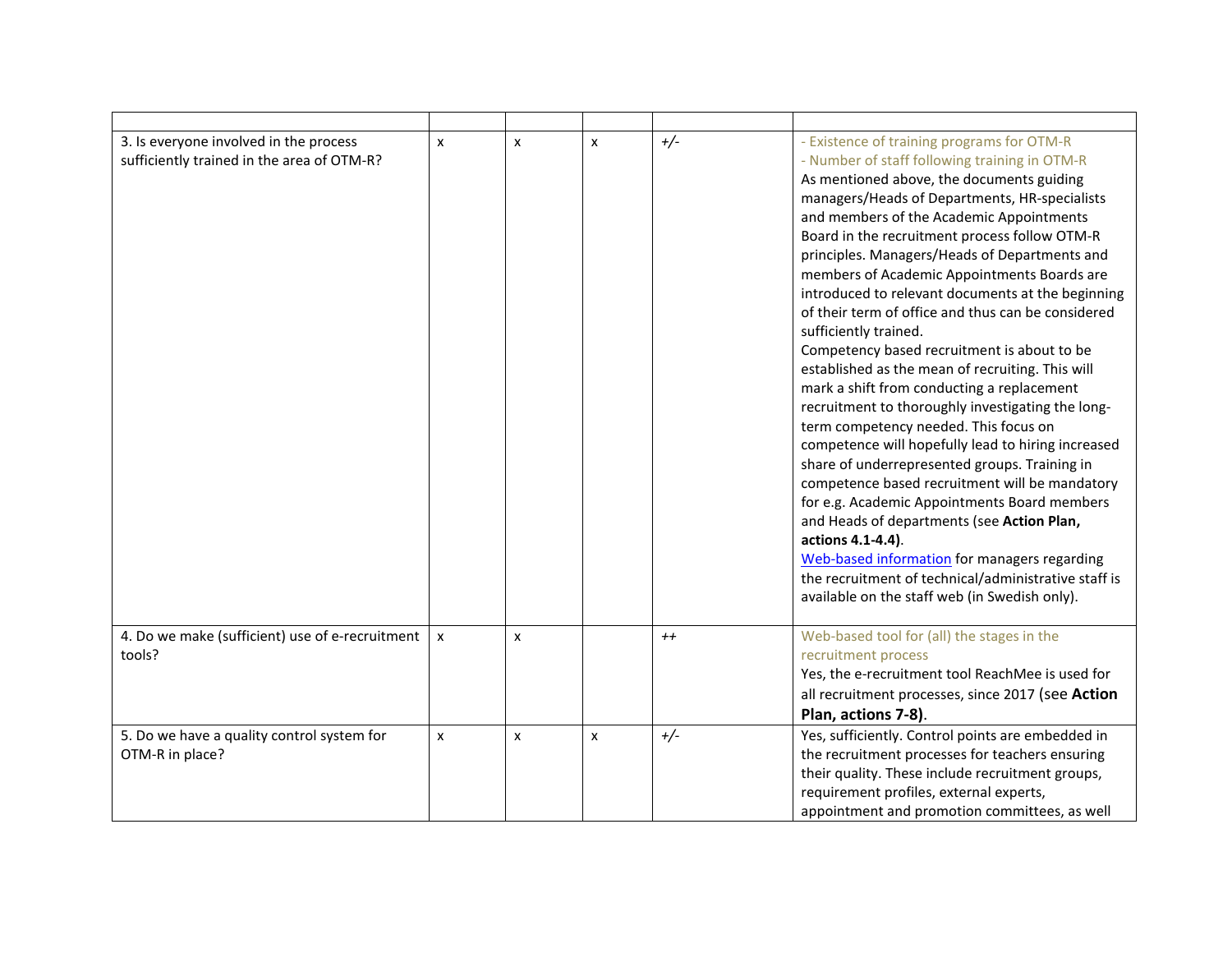| 3. Is everyone involved in the process<br>sufficiently trained in the area of OTM-R? | $\boldsymbol{\mathsf{x}}$ | $\boldsymbol{x}$ | $\mathsf{x}$   | $+/-$   | - Existence of training programs for OTM-R<br>- Number of staff following training in OTM-R<br>As mentioned above, the documents guiding<br>managers/Heads of Departments, HR-specialists<br>and members of the Academic Appointments<br>Board in the recruitment process follow OTM-R<br>principles. Managers/Heads of Departments and<br>members of Academic Appointments Boards are<br>introduced to relevant documents at the beginning<br>of their term of office and thus can be considered<br>sufficiently trained.<br>Competency based recruitment is about to be<br>established as the mean of recruiting. This will<br>mark a shift from conducting a replacement<br>recruitment to thoroughly investigating the long-<br>term competency needed. This focus on<br>competence will hopefully lead to hiring increased<br>share of underrepresented groups. Training in<br>competence based recruitment will be mandatory<br>for e.g. Academic Appointments Board members<br>and Heads of departments (see Action Plan,<br>actions 4.1-4.4).<br>Web-based information for managers regarding<br>the recruitment of technical/administrative staff is<br>available on the staff web (in Swedish only). |
|--------------------------------------------------------------------------------------|---------------------------|------------------|----------------|---------|----------------------------------------------------------------------------------------------------------------------------------------------------------------------------------------------------------------------------------------------------------------------------------------------------------------------------------------------------------------------------------------------------------------------------------------------------------------------------------------------------------------------------------------------------------------------------------------------------------------------------------------------------------------------------------------------------------------------------------------------------------------------------------------------------------------------------------------------------------------------------------------------------------------------------------------------------------------------------------------------------------------------------------------------------------------------------------------------------------------------------------------------------------------------------------------------------------------|
| 4. Do we make (sufficient) use of e-recruitment<br>tools?                            | X                         | x                |                | $^{++}$ | Web-based tool for (all) the stages in the<br>recruitment process<br>Yes, the e-recruitment tool ReachMee is used for<br>all recruitment processes, since 2017 (see Action<br>Plan, actions 7-8).                                                                                                                                                                                                                                                                                                                                                                                                                                                                                                                                                                                                                                                                                                                                                                                                                                                                                                                                                                                                              |
| 5. Do we have a quality control system for<br>OTM-R in place?                        | $\pmb{\times}$            | x                | $\pmb{\times}$ | $+/-$   | Yes, sufficiently. Control points are embedded in<br>the recruitment processes for teachers ensuring<br>their quality. These include recruitment groups,<br>requirement profiles, external experts,<br>appointment and promotion committees, as well                                                                                                                                                                                                                                                                                                                                                                                                                                                                                                                                                                                                                                                                                                                                                                                                                                                                                                                                                           |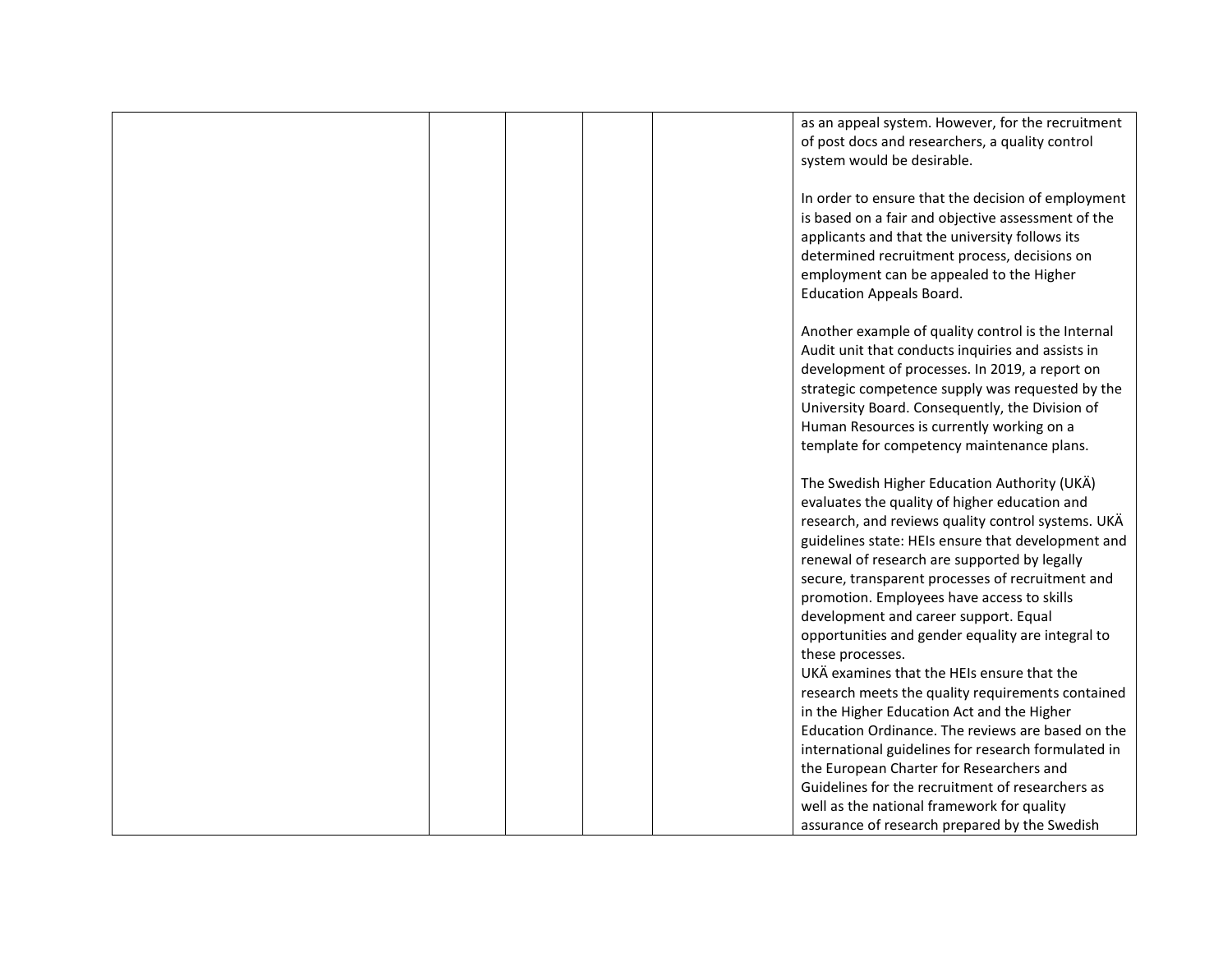|  | as an appeal system. However, for the recruitment<br>of post docs and researchers, a quality control<br>system would be desirable.                                                                                                                                                                                                                                                                                                                        |
|--|-----------------------------------------------------------------------------------------------------------------------------------------------------------------------------------------------------------------------------------------------------------------------------------------------------------------------------------------------------------------------------------------------------------------------------------------------------------|
|  | In order to ensure that the decision of employment<br>is based on a fair and objective assessment of the<br>applicants and that the university follows its<br>determined recruitment process, decisions on<br>employment can be appealed to the Higher<br><b>Education Appeals Board.</b>                                                                                                                                                                 |
|  | Another example of quality control is the Internal<br>Audit unit that conducts inquiries and assists in<br>development of processes. In 2019, a report on<br>strategic competence supply was requested by the<br>University Board. Consequently, the Division of<br>Human Resources is currently working on a<br>template for competency maintenance plans.                                                                                               |
|  | The Swedish Higher Education Authority (UKÄ)<br>evaluates the quality of higher education and<br>research, and reviews quality control systems. UKÄ<br>guidelines state: HEIs ensure that development and<br>renewal of research are supported by legally<br>secure, transparent processes of recruitment and<br>promotion. Employees have access to skills<br>development and career support. Equal<br>opportunities and gender equality are integral to |
|  | these processes.<br>UKÄ examines that the HEIs ensure that the<br>research meets the quality requirements contained<br>in the Higher Education Act and the Higher<br>Education Ordinance. The reviews are based on the<br>international guidelines for research formulated in<br>the European Charter for Researchers and<br>Guidelines for the recruitment of researchers as<br>well as the national framework for quality                               |
|  | assurance of research prepared by the Swedish                                                                                                                                                                                                                                                                                                                                                                                                             |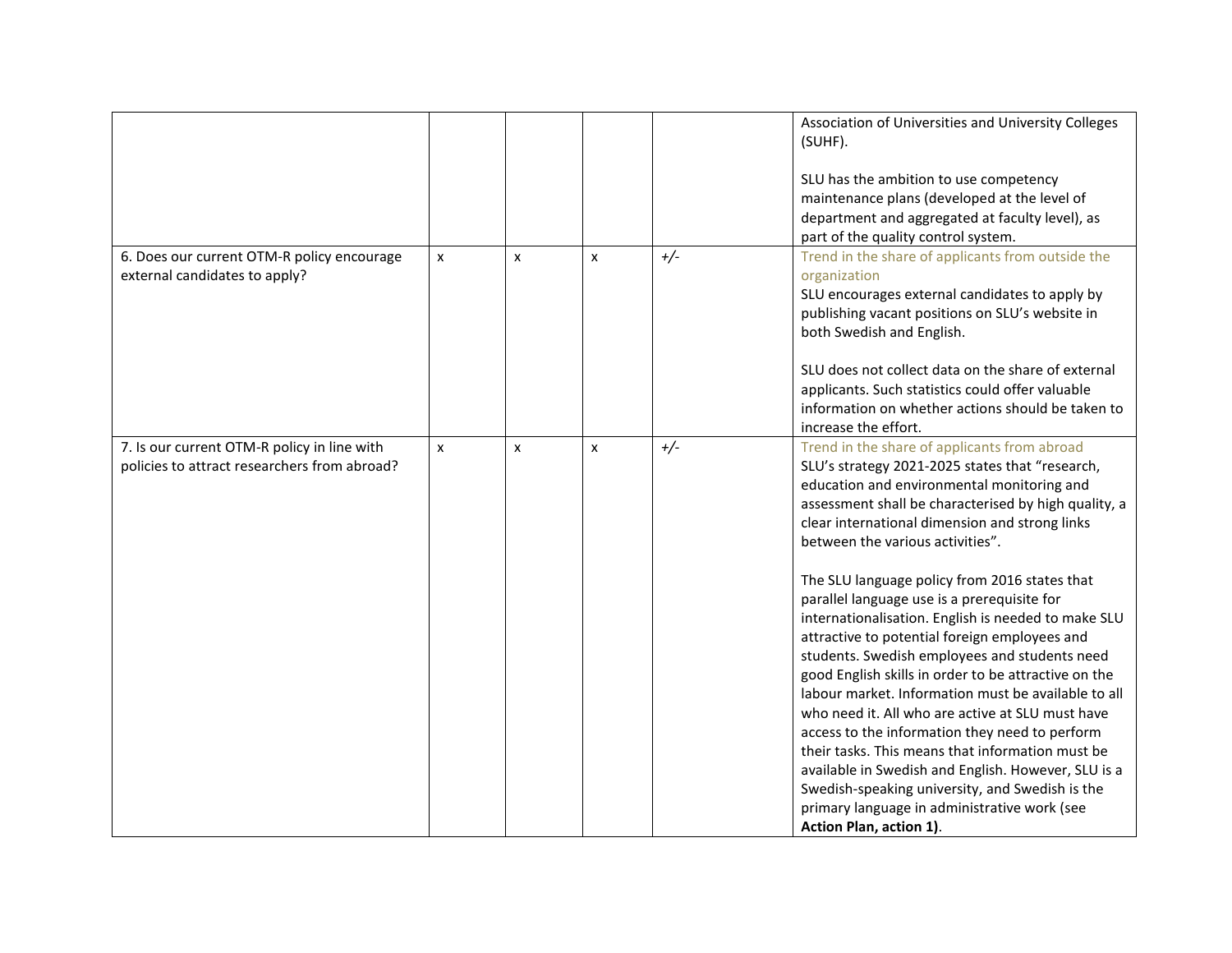|                                                                                             |                |                           |              |       | Association of Universities and University Colleges<br>(SUHF).<br>SLU has the ambition to use competency<br>maintenance plans (developed at the level of<br>department and aggregated at faculty level), as<br>part of the quality control system.                                                                                                                                                                                                                                                                                                                                                                                                                                                                                                                                                                                                                                                                                                                                                                 |
|---------------------------------------------------------------------------------------------|----------------|---------------------------|--------------|-------|--------------------------------------------------------------------------------------------------------------------------------------------------------------------------------------------------------------------------------------------------------------------------------------------------------------------------------------------------------------------------------------------------------------------------------------------------------------------------------------------------------------------------------------------------------------------------------------------------------------------------------------------------------------------------------------------------------------------------------------------------------------------------------------------------------------------------------------------------------------------------------------------------------------------------------------------------------------------------------------------------------------------|
| 6. Does our current OTM-R policy encourage<br>external candidates to apply?                 | $\pmb{\times}$ | $\boldsymbol{x}$          | $\mathsf{x}$ | $+/-$ | Trend in the share of applicants from outside the<br>organization<br>SLU encourages external candidates to apply by<br>publishing vacant positions on SLU's website in<br>both Swedish and English.<br>SLU does not collect data on the share of external<br>applicants. Such statistics could offer valuable<br>information on whether actions should be taken to<br>increase the effort.                                                                                                                                                                                                                                                                                                                                                                                                                                                                                                                                                                                                                         |
| 7. Is our current OTM-R policy in line with<br>policies to attract researchers from abroad? | $\pmb{\times}$ | $\boldsymbol{\mathsf{x}}$ | $\mathsf{x}$ | $+/-$ | Trend in the share of applicants from abroad<br>SLU's strategy 2021-2025 states that "research,<br>education and environmental monitoring and<br>assessment shall be characterised by high quality, a<br>clear international dimension and strong links<br>between the various activities".<br>The SLU language policy from 2016 states that<br>parallel language use is a prerequisite for<br>internationalisation. English is needed to make SLU<br>attractive to potential foreign employees and<br>students. Swedish employees and students need<br>good English skills in order to be attractive on the<br>labour market. Information must be available to all<br>who need it. All who are active at SLU must have<br>access to the information they need to perform<br>their tasks. This means that information must be<br>available in Swedish and English. However, SLU is a<br>Swedish-speaking university, and Swedish is the<br>primary language in administrative work (see<br>Action Plan, action 1). |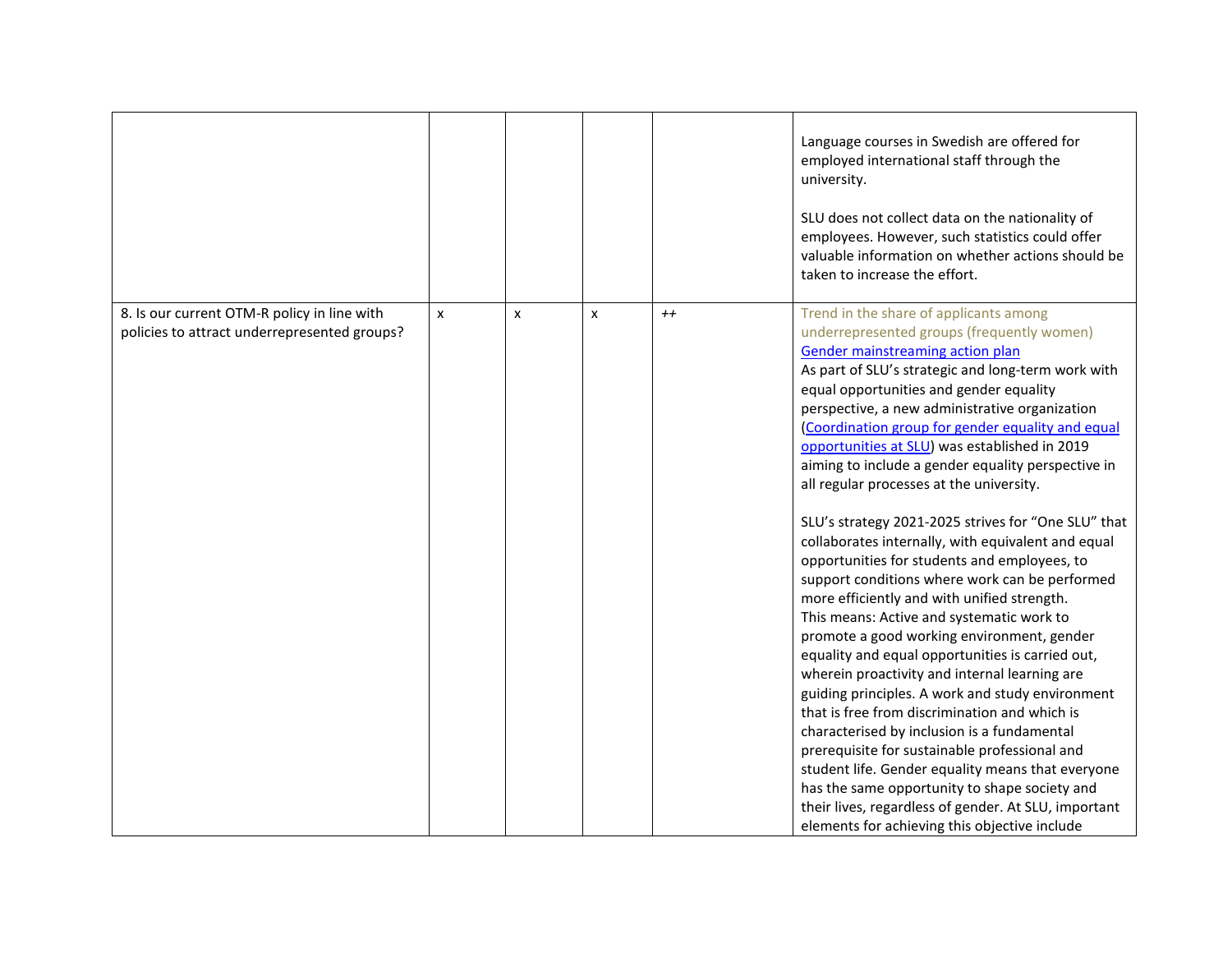|                                                                                             |   |   |                  |         | Language courses in Swedish are offered for<br>employed international staff through the<br>university.<br>SLU does not collect data on the nationality of<br>employees. However, such statistics could offer<br>valuable information on whether actions should be<br>taken to increase the effort.                                                                                                                                                                                                                                                                                                                                                                                                                                                                                                                                                                                                                                                                                                                                                                                                                                                                                                                                                                                                                                                                    |
|---------------------------------------------------------------------------------------------|---|---|------------------|---------|-----------------------------------------------------------------------------------------------------------------------------------------------------------------------------------------------------------------------------------------------------------------------------------------------------------------------------------------------------------------------------------------------------------------------------------------------------------------------------------------------------------------------------------------------------------------------------------------------------------------------------------------------------------------------------------------------------------------------------------------------------------------------------------------------------------------------------------------------------------------------------------------------------------------------------------------------------------------------------------------------------------------------------------------------------------------------------------------------------------------------------------------------------------------------------------------------------------------------------------------------------------------------------------------------------------------------------------------------------------------------|
| 8. Is our current OTM-R policy in line with<br>policies to attract underrepresented groups? | X | x | $\boldsymbol{x}$ | $^{++}$ | Trend in the share of applicants among<br>underrepresented groups (frequently women)<br>Gender mainstreaming action plan<br>As part of SLU's strategic and long-term work with<br>equal opportunities and gender equality<br>perspective, a new administrative organization<br>(Coordination group for gender equality and equal<br>opportunities at SLU) was established in 2019<br>aiming to include a gender equality perspective in<br>all regular processes at the university.<br>SLU's strategy 2021-2025 strives for "One SLU" that<br>collaborates internally, with equivalent and equal<br>opportunities for students and employees, to<br>support conditions where work can be performed<br>more efficiently and with unified strength.<br>This means: Active and systematic work to<br>promote a good working environment, gender<br>equality and equal opportunities is carried out,<br>wherein proactivity and internal learning are<br>guiding principles. A work and study environment<br>that is free from discrimination and which is<br>characterised by inclusion is a fundamental<br>prerequisite for sustainable professional and<br>student life. Gender equality means that everyone<br>has the same opportunity to shape society and<br>their lives, regardless of gender. At SLU, important<br>elements for achieving this objective include |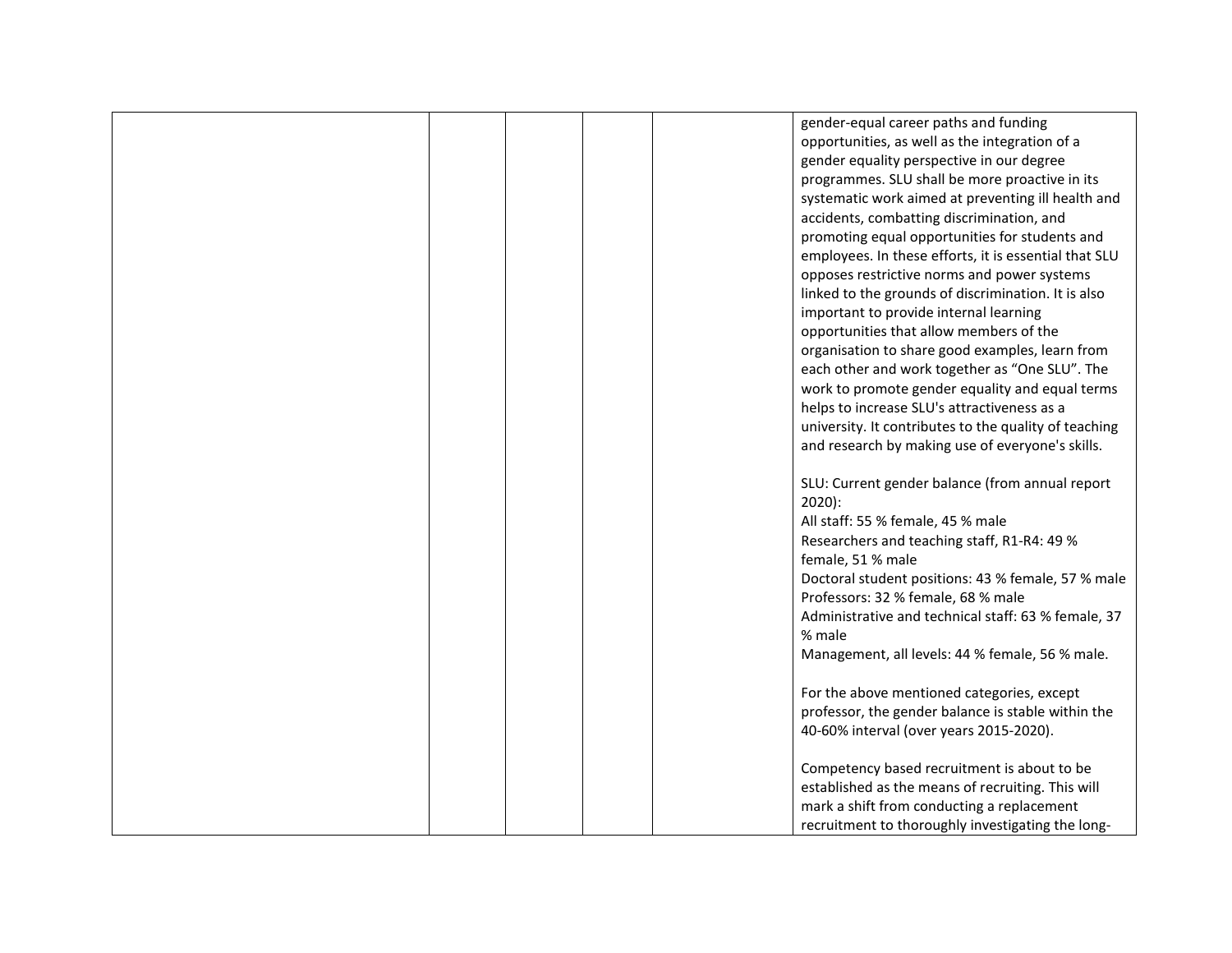|  |  | gender-equal career paths and funding                 |
|--|--|-------------------------------------------------------|
|  |  | opportunities, as well as the integration of a        |
|  |  | gender equality perspective in our degree             |
|  |  | programmes. SLU shall be more proactive in its        |
|  |  | systematic work aimed at preventing ill health and    |
|  |  | accidents, combatting discrimination, and             |
|  |  | promoting equal opportunities for students and        |
|  |  |                                                       |
|  |  | employees. In these efforts, it is essential that SLU |
|  |  | opposes restrictive norms and power systems           |
|  |  | linked to the grounds of discrimination. It is also   |
|  |  | important to provide internal learning                |
|  |  | opportunities that allow members of the               |
|  |  | organisation to share good examples, learn from       |
|  |  | each other and work together as "One SLU". The        |
|  |  | work to promote gender equality and equal terms       |
|  |  | helps to increase SLU's attractiveness as a           |
|  |  | university. It contributes to the quality of teaching |
|  |  | and research by making use of everyone's skills.      |
|  |  |                                                       |
|  |  | SLU: Current gender balance (from annual report       |
|  |  | $2020$ :                                              |
|  |  | All staff: 55 % female, 45 % male                     |
|  |  | Researchers and teaching staff, R1-R4: 49 %           |
|  |  | female, 51 % male                                     |
|  |  | Doctoral student positions: 43 % female, 57 % male    |
|  |  | Professors: 32 % female, 68 % male                    |
|  |  | Administrative and technical staff: 63 % female, 37   |
|  |  |                                                       |
|  |  | % male                                                |
|  |  | Management, all levels: 44 % female, 56 % male.       |
|  |  |                                                       |
|  |  | For the above mentioned categories, except            |
|  |  | professor, the gender balance is stable within the    |
|  |  | 40-60% interval (over years 2015-2020).               |
|  |  |                                                       |
|  |  | Competency based recruitment is about to be           |
|  |  | established as the means of recruiting. This will     |
|  |  | mark a shift from conducting a replacement            |
|  |  | recruitment to thoroughly investigating the long-     |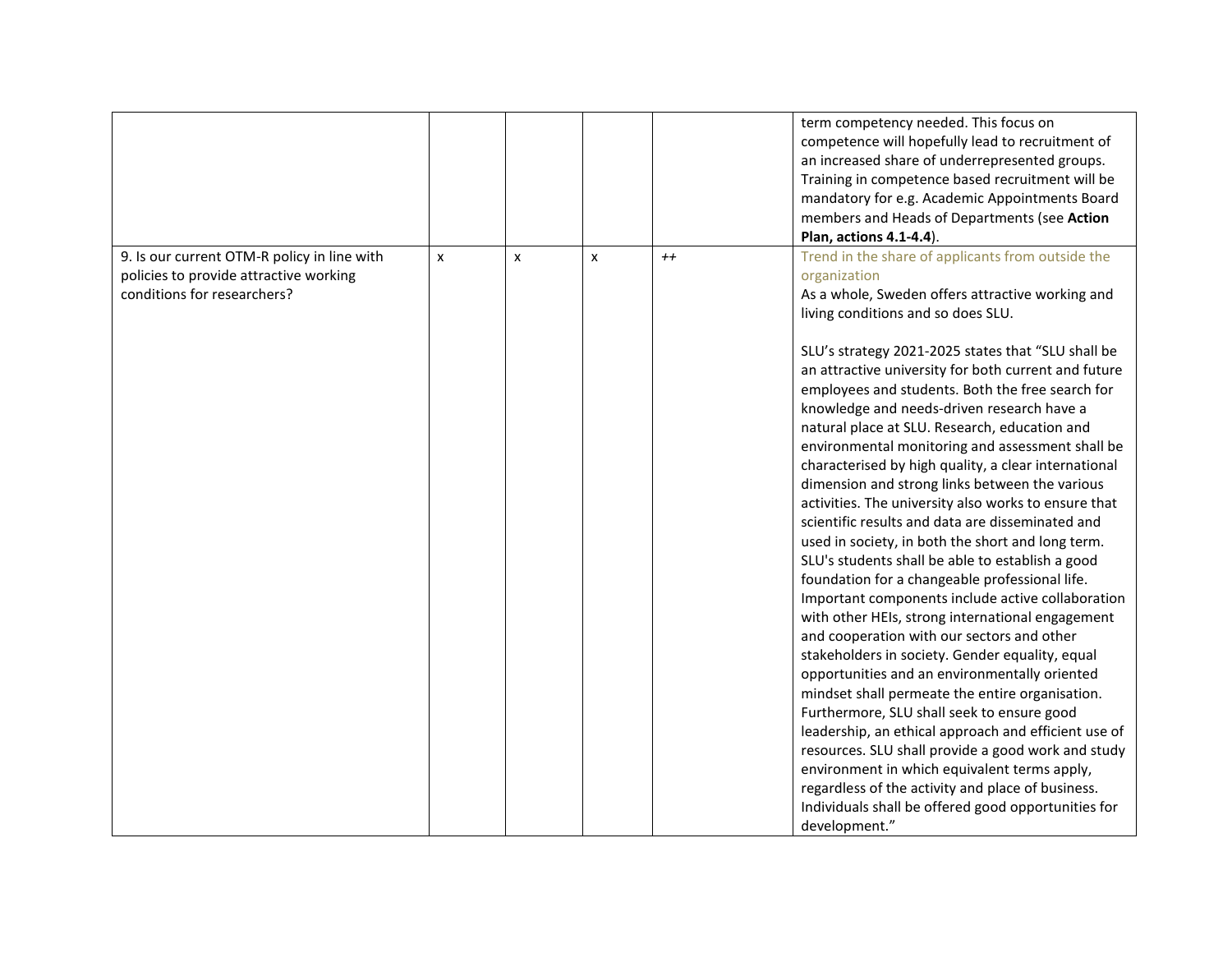|                                             |   |   |                           |      | term competency needed. This focus on                |
|---------------------------------------------|---|---|---------------------------|------|------------------------------------------------------|
|                                             |   |   |                           |      |                                                      |
|                                             |   |   |                           |      | competence will hopefully lead to recruitment of     |
|                                             |   |   |                           |      | an increased share of underrepresented groups.       |
|                                             |   |   |                           |      | Training in competence based recruitment will be     |
|                                             |   |   |                           |      | mandatory for e.g. Academic Appointments Board       |
|                                             |   |   |                           |      | members and Heads of Departments (see Action         |
|                                             |   |   |                           |      | Plan, actions 4.1-4.4).                              |
| 9. Is our current OTM-R policy in line with | X | x | $\boldsymbol{\mathsf{x}}$ | $++$ | Trend in the share of applicants from outside the    |
| policies to provide attractive working      |   |   |                           |      | organization                                         |
| conditions for researchers?                 |   |   |                           |      | As a whole, Sweden offers attractive working and     |
|                                             |   |   |                           |      | living conditions and so does SLU.                   |
|                                             |   |   |                           |      |                                                      |
|                                             |   |   |                           |      |                                                      |
|                                             |   |   |                           |      | SLU's strategy 2021-2025 states that "SLU shall be   |
|                                             |   |   |                           |      | an attractive university for both current and future |
|                                             |   |   |                           |      | employees and students. Both the free search for     |
|                                             |   |   |                           |      | knowledge and needs-driven research have a           |
|                                             |   |   |                           |      | natural place at SLU. Research, education and        |
|                                             |   |   |                           |      | environmental monitoring and assessment shall be     |
|                                             |   |   |                           |      | characterised by high quality, a clear international |
|                                             |   |   |                           |      | dimension and strong links between the various       |
|                                             |   |   |                           |      | activities. The university also works to ensure that |
|                                             |   |   |                           |      | scientific results and data are disseminated and     |
|                                             |   |   |                           |      | used in society, in both the short and long term.    |
|                                             |   |   |                           |      | SLU's students shall be able to establish a good     |
|                                             |   |   |                           |      | foundation for a changeable professional life.       |
|                                             |   |   |                           |      |                                                      |
|                                             |   |   |                           |      | Important components include active collaboration    |
|                                             |   |   |                           |      | with other HEIs, strong international engagement     |
|                                             |   |   |                           |      | and cooperation with our sectors and other           |
|                                             |   |   |                           |      | stakeholders in society. Gender equality, equal      |
|                                             |   |   |                           |      | opportunities and an environmentally oriented        |
|                                             |   |   |                           |      | mindset shall permeate the entire organisation.      |
|                                             |   |   |                           |      | Furthermore, SLU shall seek to ensure good           |
|                                             |   |   |                           |      | leadership, an ethical approach and efficient use of |
|                                             |   |   |                           |      | resources. SLU shall provide a good work and study   |
|                                             |   |   |                           |      | environment in which equivalent terms apply,         |
|                                             |   |   |                           |      | regardless of the activity and place of business.    |
|                                             |   |   |                           |      | Individuals shall be offered good opportunities for  |
|                                             |   |   |                           |      |                                                      |
|                                             |   |   |                           |      | development."                                        |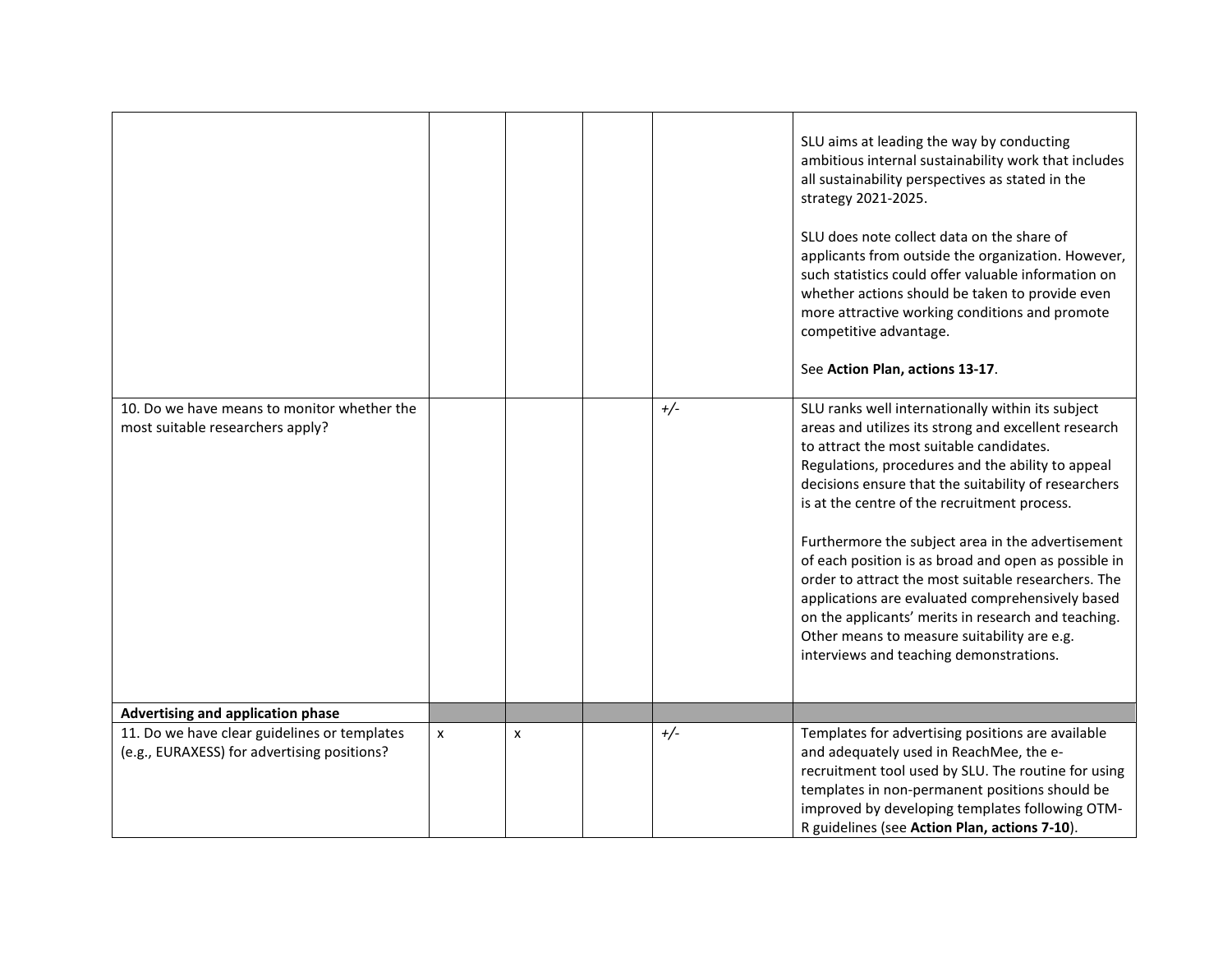|                                                                                             |   |   |       | SLU aims at leading the way by conducting<br>ambitious internal sustainability work that includes<br>all sustainability perspectives as stated in the<br>strategy 2021-2025.<br>SLU does note collect data on the share of<br>applicants from outside the organization. However,<br>such statistics could offer valuable information on<br>whether actions should be taken to provide even<br>more attractive working conditions and promote<br>competitive advantage.<br>See Action Plan, actions 13-17.                                                                                                                                                                                   |
|---------------------------------------------------------------------------------------------|---|---|-------|---------------------------------------------------------------------------------------------------------------------------------------------------------------------------------------------------------------------------------------------------------------------------------------------------------------------------------------------------------------------------------------------------------------------------------------------------------------------------------------------------------------------------------------------------------------------------------------------------------------------------------------------------------------------------------------------|
| 10. Do we have means to monitor whether the<br>most suitable researchers apply?             |   |   | $+/-$ | SLU ranks well internationally within its subject<br>areas and utilizes its strong and excellent research<br>to attract the most suitable candidates.<br>Regulations, procedures and the ability to appeal<br>decisions ensure that the suitability of researchers<br>is at the centre of the recruitment process.<br>Furthermore the subject area in the advertisement<br>of each position is as broad and open as possible in<br>order to attract the most suitable researchers. The<br>applications are evaluated comprehensively based<br>on the applicants' merits in research and teaching.<br>Other means to measure suitability are e.g.<br>interviews and teaching demonstrations. |
| Advertising and application phase                                                           |   |   |       |                                                                                                                                                                                                                                                                                                                                                                                                                                                                                                                                                                                                                                                                                             |
| 11. Do we have clear guidelines or templates<br>(e.g., EURAXESS) for advertising positions? | X | X | $+/-$ | Templates for advertising positions are available<br>and adequately used in ReachMee, the e-<br>recruitment tool used by SLU. The routine for using<br>templates in non-permanent positions should be<br>improved by developing templates following OTM-<br>R guidelines (see Action Plan, actions 7-10).                                                                                                                                                                                                                                                                                                                                                                                   |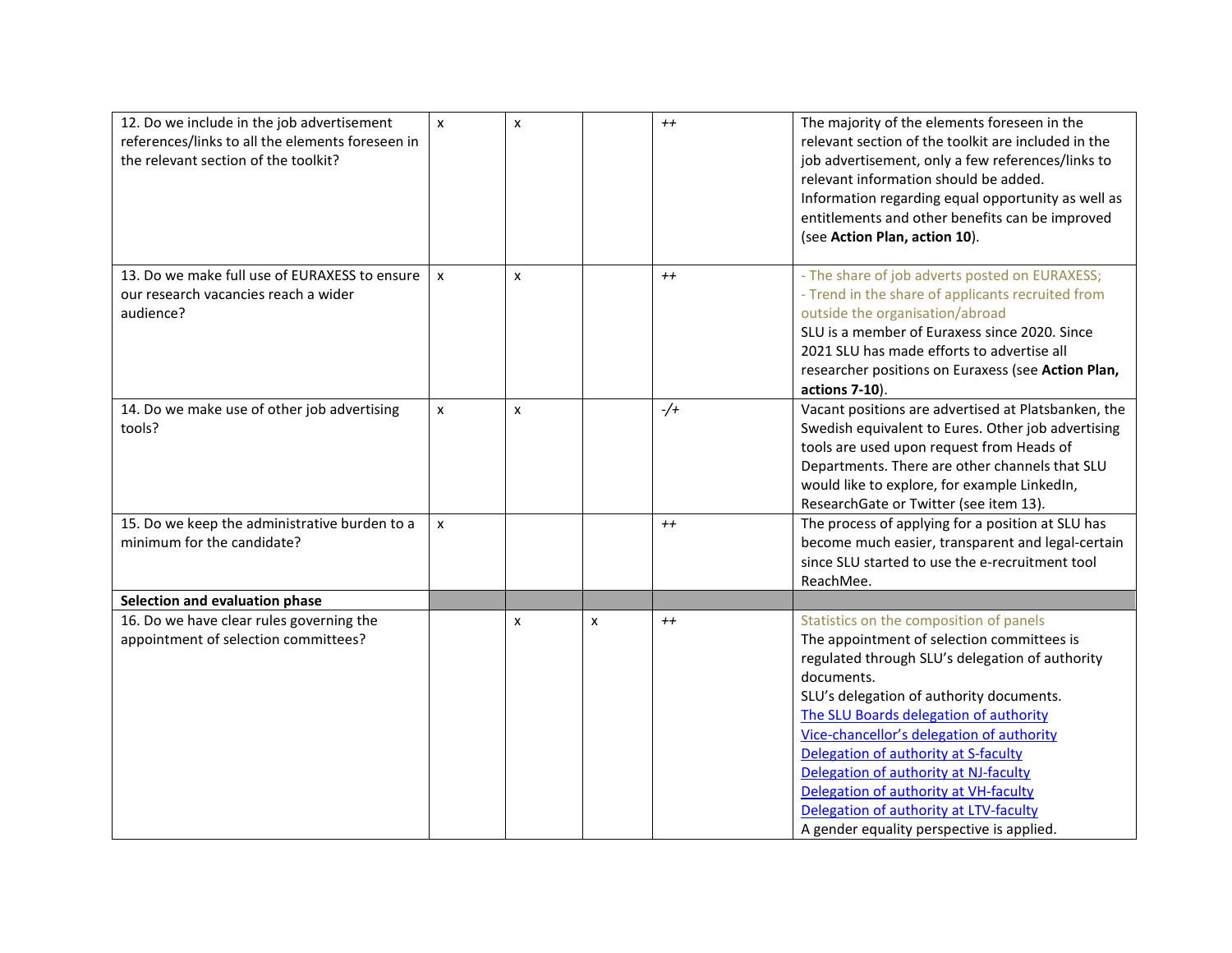| 12. Do we include in the job advertisement<br>references/links to all the elements foreseen in<br>the relevant section of the toolkit? | $\pmb{\times}$ | $\mathsf{x}$     |   | $++$    | The majority of the elements foreseen in the<br>relevant section of the toolkit are included in the<br>job advertisement, only a few references/links to<br>relevant information should be added.<br>Information regarding equal opportunity as well as<br>entitlements and other benefits can be improved<br>(see Action Plan, action 10).                                                                                                                                                                |
|----------------------------------------------------------------------------------------------------------------------------------------|----------------|------------------|---|---------|------------------------------------------------------------------------------------------------------------------------------------------------------------------------------------------------------------------------------------------------------------------------------------------------------------------------------------------------------------------------------------------------------------------------------------------------------------------------------------------------------------|
| 13. Do we make full use of EURAXESS to ensure<br>our research vacancies reach a wider<br>audience?                                     | $\mathsf{x}$   | $\boldsymbol{x}$ |   | $^{++}$ | - The share of job adverts posted on EURAXESS;<br>- Trend in the share of applicants recruited from<br>outside the organisation/abroad<br>SLU is a member of Euraxess since 2020. Since<br>2021 SLU has made efforts to advertise all<br>researcher positions on Euraxess (see Action Plan,<br>actions 7-10).                                                                                                                                                                                              |
| 14. Do we make use of other job advertising<br>tools?                                                                                  | x              | $\mathsf{x}$     |   | $-/-$   | Vacant positions are advertised at Platsbanken, the<br>Swedish equivalent to Eures. Other job advertising<br>tools are used upon request from Heads of<br>Departments. There are other channels that SLU<br>would like to explore, for example LinkedIn,<br>ResearchGate or Twitter (see item 13).                                                                                                                                                                                                         |
| 15. Do we keep the administrative burden to a<br>minimum for the candidate?                                                            | X              |                  |   | $++$    | The process of applying for a position at SLU has<br>become much easier, transparent and legal-certain<br>since SLU started to use the e-recruitment tool<br>ReachMee.                                                                                                                                                                                                                                                                                                                                     |
| Selection and evaluation phase                                                                                                         |                |                  |   |         |                                                                                                                                                                                                                                                                                                                                                                                                                                                                                                            |
| 16. Do we have clear rules governing the<br>appointment of selection committees?                                                       |                | x                | X | $^{++}$ | Statistics on the composition of panels<br>The appointment of selection committees is<br>regulated through SLU's delegation of authority<br>documents.<br>SLU's delegation of authority documents.<br>The SLU Boards delegation of authority<br>Vice-chancellor's delegation of authority<br>Delegation of authority at S-faculty<br>Delegation of authority at NJ-faculty<br>Delegation of authority at VH-faculty<br>Delegation of authority at LTV-faculty<br>A gender equality perspective is applied. |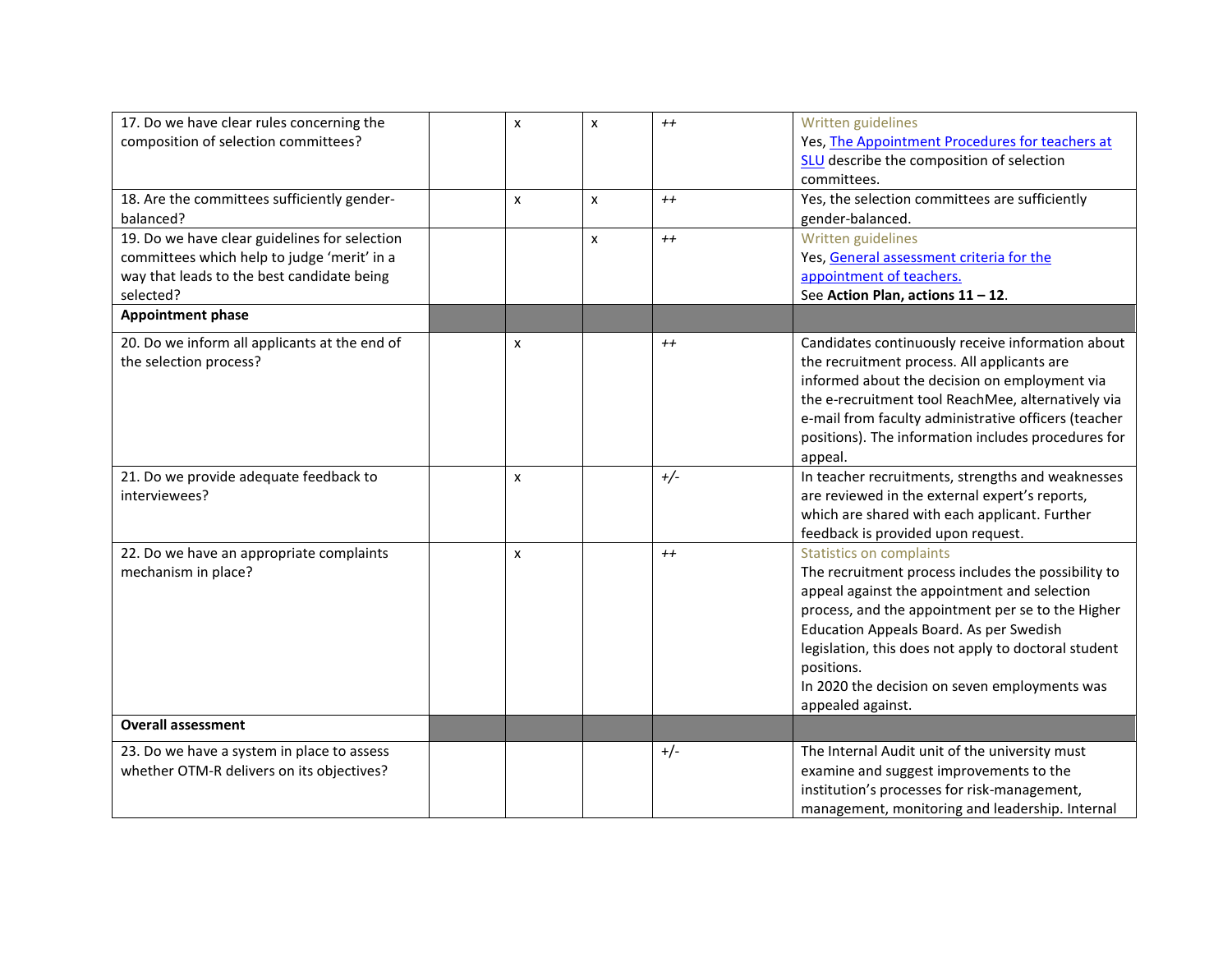| 17. Do we have clear rules concerning the     | x                | X              | $^{++}$ | Written guidelines                                   |
|-----------------------------------------------|------------------|----------------|---------|------------------------------------------------------|
| composition of selection committees?          |                  |                |         | Yes, The Appointment Procedures for teachers at      |
|                                               |                  |                |         | <b>SLU</b> describe the composition of selection     |
|                                               |                  |                |         | committees.                                          |
| 18. Are the committees sufficiently gender-   | $\boldsymbol{x}$ | $\mathsf{x}$   | $^{++}$ | Yes, the selection committees are sufficiently       |
| balanced?                                     |                  |                |         | gender-balanced.                                     |
| 19. Do we have clear guidelines for selection |                  | $\pmb{\times}$ | $++$    | Written guidelines                                   |
| committees which help to judge 'merit' in a   |                  |                |         | Yes, General assessment criteria for the             |
| way that leads to the best candidate being    |                  |                |         | appointment of teachers.                             |
| selected?                                     |                  |                |         | See Action Plan, actions 11 - 12.                    |
| <b>Appointment phase</b>                      |                  |                |         |                                                      |
| 20. Do we inform all applicants at the end of | x                |                | $^{++}$ | Candidates continuously receive information about    |
| the selection process?                        |                  |                |         | the recruitment process. All applicants are          |
|                                               |                  |                |         | informed about the decision on employment via        |
|                                               |                  |                |         | the e-recruitment tool ReachMee, alternatively via   |
|                                               |                  |                |         | e-mail from faculty administrative officers (teacher |
|                                               |                  |                |         | positions). The information includes procedures for  |
|                                               |                  |                |         | appeal.                                              |
| 21. Do we provide adequate feedback to        | x                |                | $+/-$   | In teacher recruitments, strengths and weaknesses    |
| interviewees?                                 |                  |                |         | are reviewed in the external expert's reports,       |
|                                               |                  |                |         | which are shared with each applicant. Further        |
|                                               |                  |                |         | feedback is provided upon request.                   |
| 22. Do we have an appropriate complaints      | $\boldsymbol{x}$ |                | $++$    | <b>Statistics on complaints</b>                      |
| mechanism in place?                           |                  |                |         | The recruitment process includes the possibility to  |
|                                               |                  |                |         | appeal against the appointment and selection         |
|                                               |                  |                |         | process, and the appointment per se to the Higher    |
|                                               |                  |                |         | Education Appeals Board. As per Swedish              |
|                                               |                  |                |         | legislation, this does not apply to doctoral student |
|                                               |                  |                |         | positions.                                           |
|                                               |                  |                |         | In 2020 the decision on seven employments was        |
|                                               |                  |                |         | appealed against.                                    |
| <b>Overall assessment</b>                     |                  |                |         |                                                      |
| 23. Do we have a system in place to assess    |                  |                | $+/-$   | The Internal Audit unit of the university must       |
| whether OTM-R delivers on its objectives?     |                  |                |         | examine and suggest improvements to the              |
|                                               |                  |                |         | institution's processes for risk-management,         |
|                                               |                  |                |         | management, monitoring and leadership. Internal      |